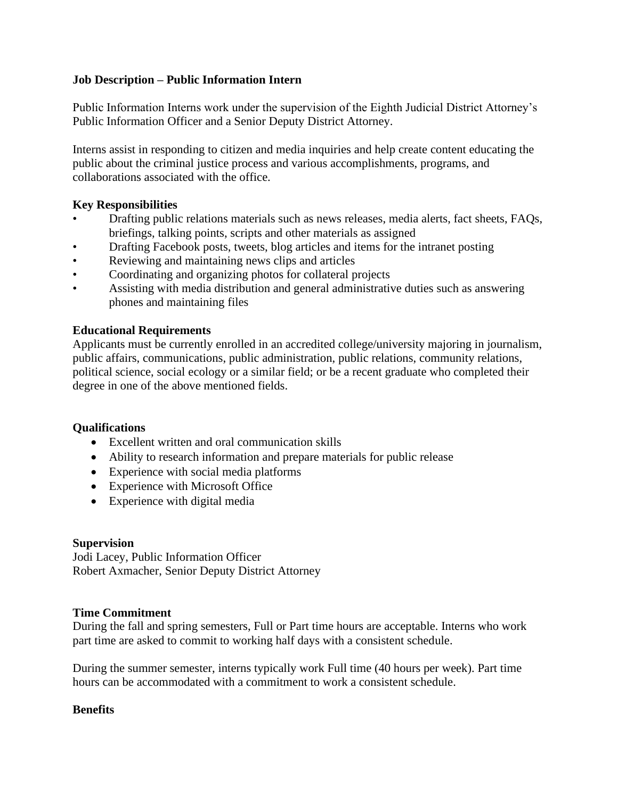# **Job Description – Public Information Intern**

Public Information Interns work under the supervision of the Eighth Judicial District Attorney's Public Information Officer and a Senior Deputy District Attorney.

Interns assist in responding to citizen and media inquiries and help create content educating the public about the criminal justice process and various accomplishments, programs, and collaborations associated with the office.

## **Key Responsibilities**

- Drafting public relations materials such as news releases, media alerts, fact sheets, FAQs, briefings, talking points, scripts and other materials as assigned
- Drafting Facebook posts, tweets, blog articles and items for the intranet posting
- Reviewing and maintaining news clips and articles
- Coordinating and organizing photos for collateral projects
- Assisting with media distribution and general administrative duties such as answering phones and maintaining files

# **Educational Requirements**

Applicants must be currently enrolled in an accredited college/university majoring in journalism, public affairs, communications, public administration, public relations, community relations, political science, social ecology or a similar field; or be a recent graduate who completed their degree in one of the above mentioned fields.

# **Qualifications**

- Excellent written and oral communication skills
- Ability to research information and prepare materials for public release
- Experience with social media platforms
- Experience with Microsoft Office
- Experience with digital media

## **Supervision**

Jodi Lacey, Public Information Officer Robert Axmacher, Senior Deputy District Attorney

## **Time Commitment**

During the fall and spring semesters, Full or Part time hours are acceptable. Interns who work part time are asked to commit to working half days with a consistent schedule.

During the summer semester, interns typically work Full time (40 hours per week). Part time hours can be accommodated with a commitment to work a consistent schedule.

## **Benefits**